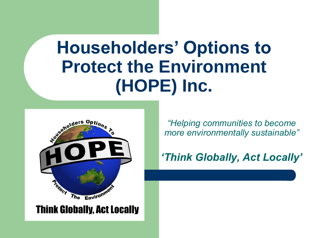## **Householders' Options to Protect the Environment (HOPE) Inc.**



*"Helping communities to become more environmentally sustainable"*

*'Think Globally, Act Locally'* 

**Think Globally, Act Locally**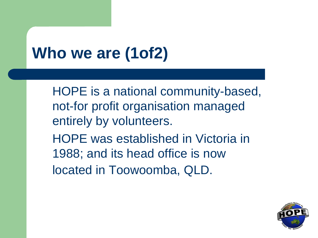# **Who we are (1of2)**

HOPE is a national community-based, not-for profit organisation managed entirely by volunteers. HOPE was established in Victoria in 1988; and its head office is now located in Toowoomba, QLD.

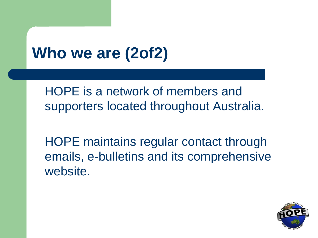## **Who we are (2of2)**

HOPE is a network of members and supporters located throughout Australia.

HOPE maintains regular contact through emails, e-bulletins and its comprehensive website.

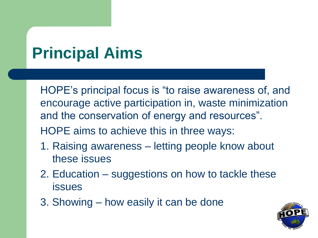## **Principal Aims**

HOPE's principal focus is "to raise awareness of, and encourage active participation in, waste minimization and the conservation of energy and resources".

HOPE aims to achieve this in three ways:

- 1. Raising awareness letting people know about these issues
- 2. Education suggestions on how to tackle these issues
- 3. Showing how easily it can be done

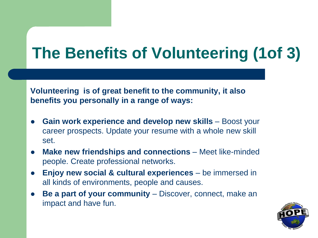## **The Benefits of Volunteering (1of 3)**

**Volunteering is of great benefit to the community, it also benefits you personally in a range of ways:**

- **Gain work experience and develop new skills** Boost your career prospects. Update your resume with a whole new skill set.
- **Make new friendships and connections** Meet like-minded people. Create professional networks.
- **Enjoy new social & cultural experiences** be immersed in all kinds of environments, people and causes.
- **Be a part of your community** Discover, connect, make an impact and have fun.

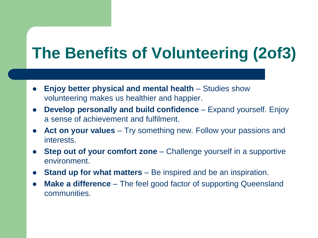#### **The Benefits of Volunteering (2of3)**

- **Enjoy better physical and mental health** Studies show volunteering makes us healthier and happier.
- **Develop personally and build confidence** Expand yourself. Enjoy a sense of achievement and fulfilment.
- Act on your values Try something new. Follow your passions and interests.
- **Step out of your comfort zone** Challenge yourself in a supportive environment.
- **Stand up for what matters**  Be inspired and be an inspiration.
- **Make a difference**  The feel good factor of supporting Queensland communities.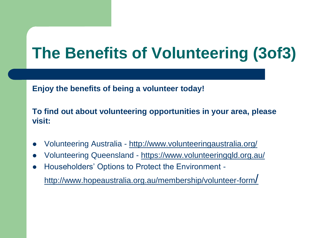#### **The Benefits of Volunteering (3of3)**

**Enjoy the benefits of being a volunteer today!**

**To find out about volunteering opportunities in your area, please visit:**

- Volunteering Australia <http://www.volunteeringaustralia.org/>
- Volunteering Queensland <https://www.volunteeringqld.org.au/>
- Householders' Options to Protect the Environment -

[http://www.hopeaustralia.org.au/membership/volunteer-form](http://www.hopeaustralia.org.au/membership/volunteer-form/)/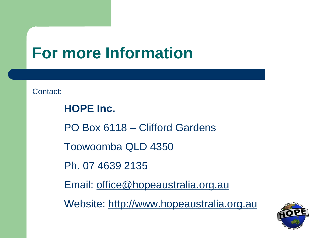#### **For more Information**

Contact:

**HOPE Inc.**  PO Box 6118 – Clifford Gardens Toowoomba QLD 4350 Ph. 07 4639 2135 Email: [office@hopeaustralia.org.au](mailto:office@hopeaustralia.org.au) Website: [http://www.hopeaustralia.org.au](http://www.hopeaustralia.org.au/)